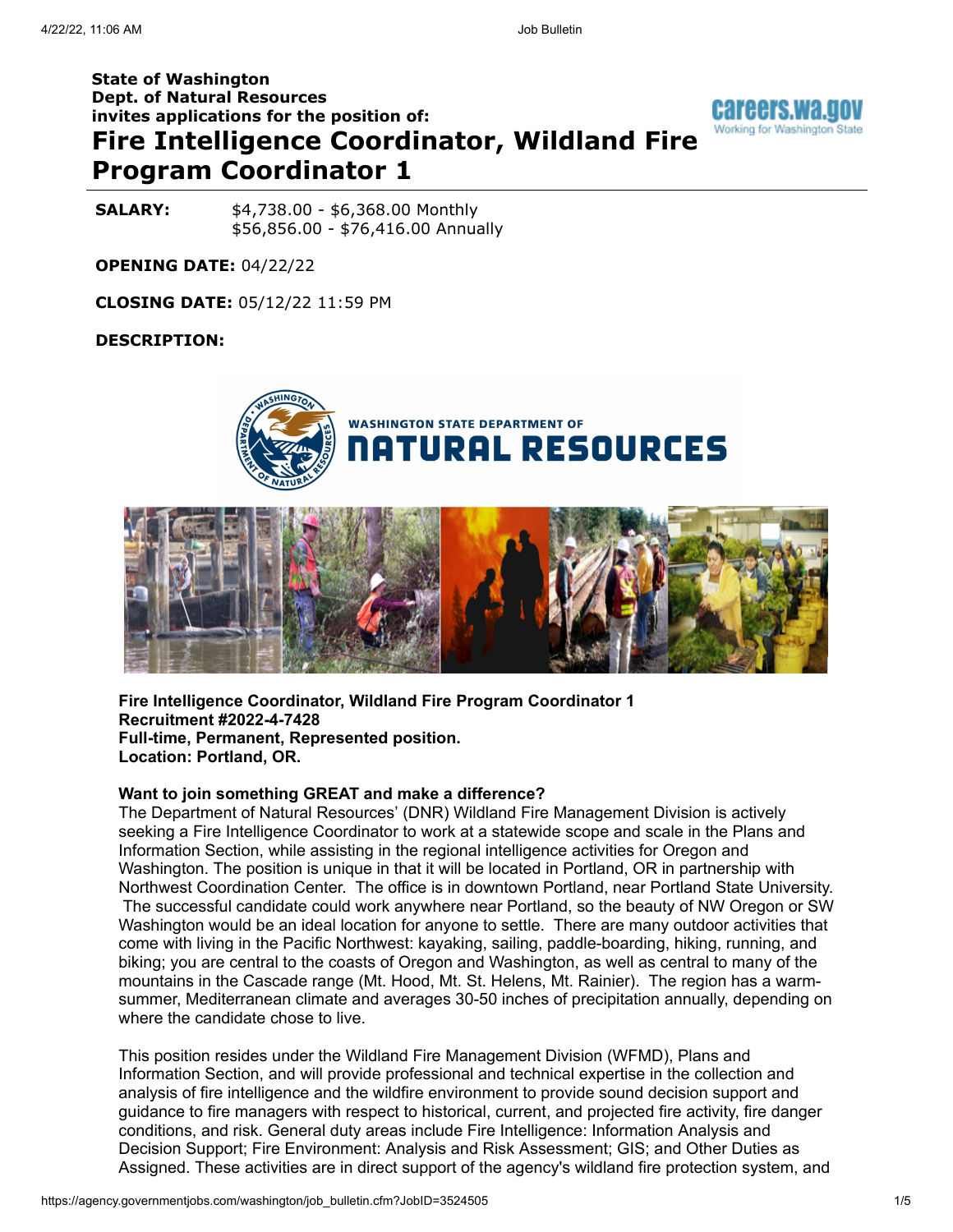# **State of Washington Dept. of Natural Resources invites applications for the position of: Fire Intelligence Coordinator, Wildland Fire Program Coordinator 1**



**SALARY:**  $$4,738.00 - $6,368.00$  Monthly \$56,856.00 - \$76,416.00 Annually

**OPENING DATE:** 04/22/22

**CLOSING DATE:** 05/12/22 11:59 PM

#### **DESCRIPTION:**





**Fire Intelligence Coordinator, Wildland Fire Program Coordinator 1 Recruitment #2022-4-7428 Full-time, Permanent, Represented position. Location: Portland, OR.**

#### **Want to join something GREAT and make a difference?**

The Department of Natural Resources' (DNR) Wildland Fire Management Division is actively seeking a Fire Intelligence Coordinator to work at a statewide scope and scale in the Plans and Information Section, while assisting in the regional intelligence activities for Oregon and Washington. The position is unique in that it will be located in Portland, OR in partnership with Northwest Coordination Center. The office is in downtown Portland, near Portland State University. The successful candidate could work anywhere near Portland, so the beauty of NW Oregon or SW Washington would be an ideal location for anyone to settle. There are many outdoor activities that come with living in the Pacific Northwest: kayaking, sailing, paddle-boarding, hiking, running, and biking; you are central to the coasts of Oregon and Washington, as well as central to many of the mountains in the Cascade range (Mt. Hood, Mt. St. Helens, Mt. Rainier). The region has a warmsummer, Mediterranean climate and averages 30-50 inches of precipitation annually, depending on where the candidate chose to live.

This position resides under the Wildland Fire Management Division (WFMD), Plans and Information Section, and will provide professional and technical expertise in the collection and analysis of fire intelligence and the wildfire environment to provide sound decision support and guidance to fire managers with respect to historical, current, and projected fire activity, fire danger conditions, and risk. General duty areas include Fire Intelligence: Information Analysis and Decision Support; Fire Environment: Analysis and Risk Assessment; GIS; and Other Duties as Assigned. These activities are in direct support of the agency's wildland fire protection system, and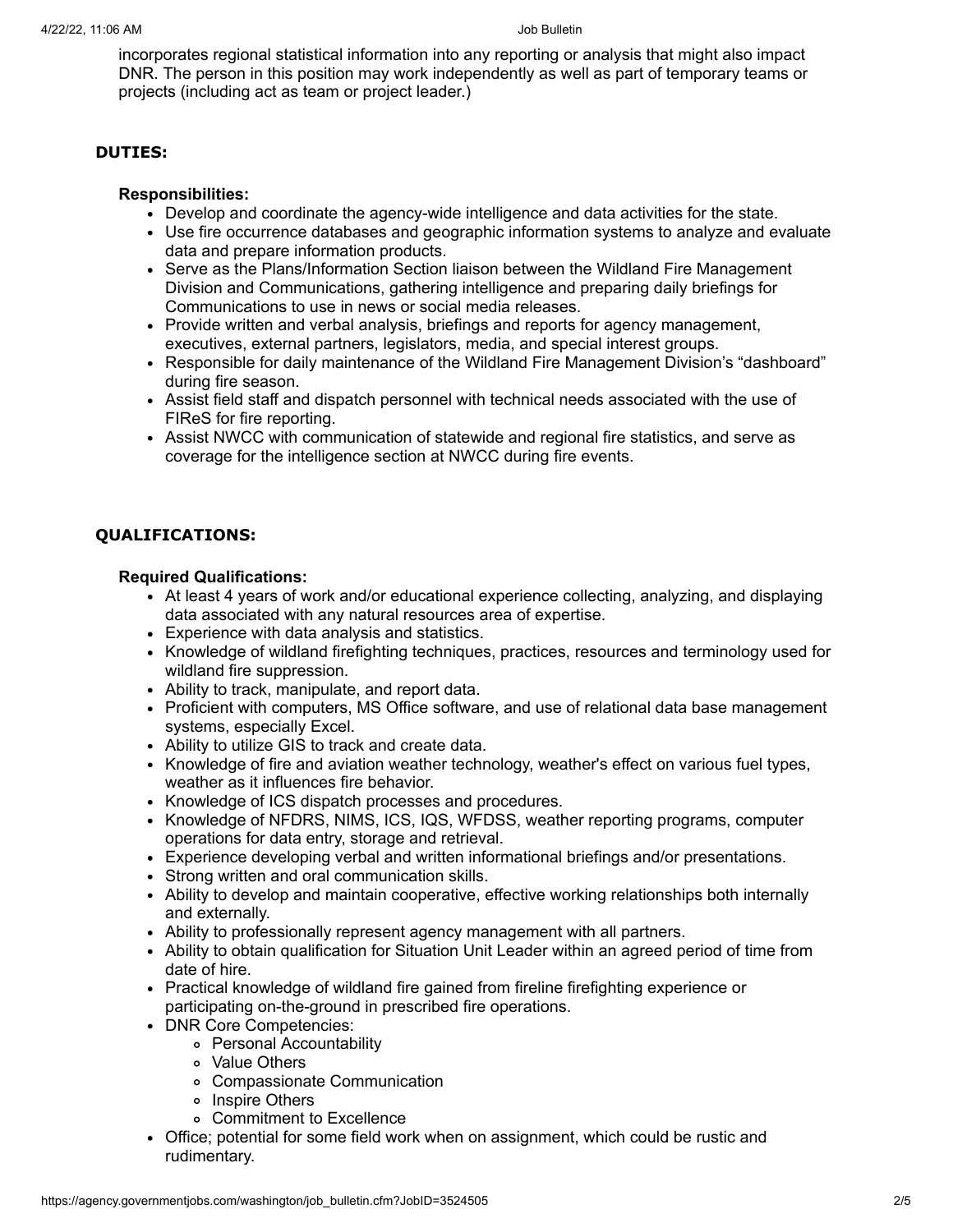incorporates regional statistical information into any reporting or analysis that might also impact DNR. The person in this position may work independently as well as part of temporary teams or projects (including act as team or project leader.)

#### **DUTIES:**

#### **Responsibilities:**

- Develop and coordinate the agency-wide intelligence and data activities for the state.
- Use fire occurrence databases and geographic information systems to analyze and evaluate data and prepare information products.
- Serve as the Plans/Information Section liaison between the Wildland Fire Management Division and Communications, gathering intelligence and preparing daily briefings for Communications to use in news or social media releases.
- Provide written and verbal analysis, briefings and reports for agency management, executives, external partners, legislators, media, and special interest groups.
- Responsible for daily maintenance of the Wildland Fire Management Division's "dashboard" during fire season.
- Assist field staff and dispatch personnel with technical needs associated with the use of FIReS for fire reporting.
- Assist NWCC with communication of statewide and regional fire statistics, and serve as coverage for the intelligence section at NWCC during fire events.

# **QUALIFICATIONS:**

#### **Required Qualifications:**

- At least 4 years of work and/or educational experience collecting, analyzing, and displaying data associated with any natural resources area of expertise.
- Experience with data analysis and statistics.
- Knowledge of wildland firefighting techniques, practices, resources and terminology used for wildland fire suppression.
- Ability to track, manipulate, and report data.
- Proficient with computers, MS Office software, and use of relational data base management systems, especially Excel.
- Ability to utilize GIS to track and create data.
- Knowledge of fire and aviation weather technology, weather's effect on various fuel types, weather as it influences fire behavior.
- Knowledge of ICS dispatch processes and procedures.
- Knowledge of NFDRS, NIMS, ICS, IQS, WFDSS, weather reporting programs, computer operations for data entry, storage and retrieval.
- Experience developing verbal and written informational briefings and/or presentations.
- Strong written and oral communication skills.
- Ability to develop and maintain cooperative, effective working relationships both internally and externally.
- Ability to professionally represent agency management with all partners.
- Ability to obtain qualification for Situation Unit Leader within an agreed period of time from date of hire.
- Practical knowledge of wildland fire gained from fireline firefighting experience or participating on-the-ground in prescribed fire operations.
- DNR Core Competencies:
	- Personal Accountability
	- Value Others
	- Compassionate Communication
	- o Inspire Others
	- Commitment to Excellence
- Office; potential for some field work when on assignment, which could be rustic and rudimentary.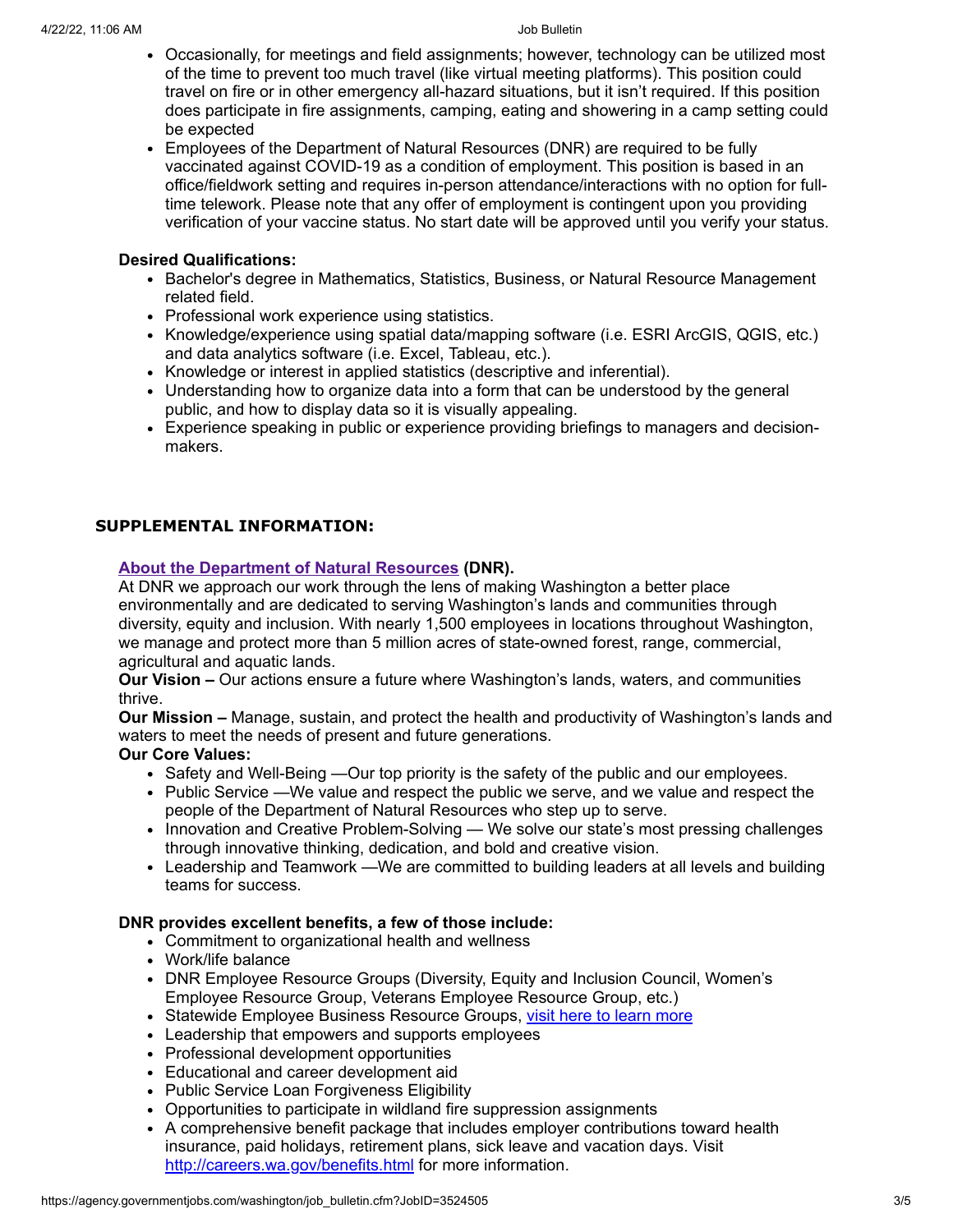- Occasionally, for meetings and field assignments; however, technology can be utilized most of the time to prevent too much travel (like virtual meeting platforms). This position could travel on fire or in other emergency all-hazard situations, but it isn't required. If this position does participate in fire assignments, camping, eating and showering in a camp setting could be expected
- Employees of the Department of Natural Resources (DNR) are required to be fully vaccinated against COVID-19 as a condition of employment. This position is based in an office/fieldwork setting and requires in-person attendance/interactions with no option for fulltime telework. Please note that any offer of employment is contingent upon you providing verification of your vaccine status. No start date will be approved until you verify your status.

#### **Desired Qualifications:**

- Bachelor's degree in Mathematics, Statistics, Business, or Natural Resource Management related field.
- Professional work experience using statistics.
- Knowledge/experience using spatial data/mapping software (i.e. ESRI ArcGIS, QGIS, etc.) and data analytics software (i.e. Excel, Tableau, etc.).
- Knowledge or interest in applied statistics (descriptive and inferential).
- Understanding how to organize data into a form that can be understood by the general public, and how to display data so it is visually appealing.
- Experience speaking in public or experience providing briefings to managers and decisionmakers.

### **SUPPLEMENTAL INFORMATION:**

### **[About the Department of Natural Resources](https://www.dnr.wa.gov/about-washington-department-natural-resources) (DNR).**

At DNR we approach our work through the lens of making Washington a better place environmentally and are dedicated to serving Washington's lands and communities through diversity, equity and inclusion. With nearly 1,500 employees in locations throughout Washington, we manage and protect more than 5 million acres of state-owned forest, range, commercial, agricultural and aquatic lands.

**Our Vision –** Our actions ensure a future where Washington's lands, waters, and communities thrive.

**Our Mission –** Manage, sustain, and protect the health and productivity of Washington's lands and waters to meet the needs of present and future generations.

### **Our Core Values:**

- Safety and Well-Being —Our top priority is the safety of the public and our employees.
- Public Service —We value and respect the public we serve, and we value and respect the people of the Department of Natural Resources who step up to serve.
- Innovation and Creative Problem-Solving We solve our state's most pressing challenges through innovative thinking, dedication, and bold and creative vision.
- Leadership and Teamwork —We are committed to building leaders at all levels and building teams for success.

### **DNR provides excellent benefits, a few of those include:**

- Commitment to organizational health and wellness
- Work/life balance
- DNR Employee Resource Groups (Diversity, Equity and Inclusion Council, Women's Employee Resource Group, Veterans Employee Resource Group, etc.)
- Statewide Employee Business Resource Groups, [visit here to learn more](https://ofm.wa.gov/state-human-resources/workforce-diversity-equity-and-inclusion/statewide-business-resource-groups)
- Leadership that empowers and supports employees
- Professional development opportunities
- Educational and career development aid
- Public Service Loan Forgiveness Eligibility
- Opportunities to participate in wildland fire suppression assignments
- A comprehensive benefit package that includes employer contributions toward health insurance, paid holidays, retirement plans, sick leave and vacation days. Visit <http://careers.wa.gov/benefits.html> for more information.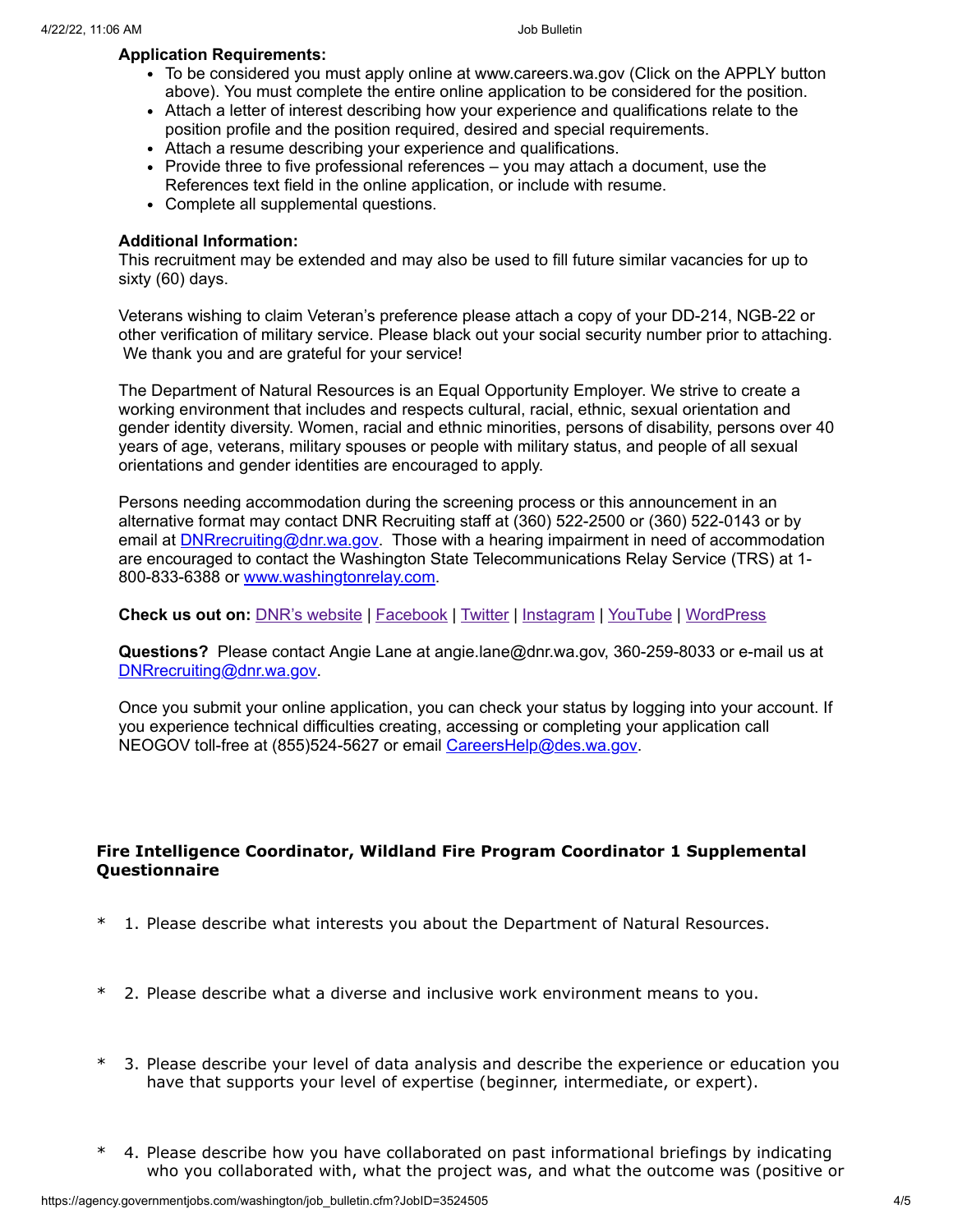#### **Application Requirements:**

- To be considered you must apply online at www.careers.wa.gov (Click on the APPLY button above). You must complete the entire online application to be considered for the position.
- Attach a letter of interest describing how your experience and qualifications relate to the position profile and the position required, desired and special requirements.
- Attach a resume describing your experience and qualifications.
- Provide three to five professional references you may attach a document, use the References text field in the online application, or include with resume.
- Complete all supplemental questions.

#### **Additional Information:**

This recruitment may be extended and may also be used to fill future similar vacancies for up to sixty (60) days.

Veterans wishing to claim Veteran's preference please attach a copy of your DD-214, NGB-22 or other verification of military service. Please black out your social security number prior to attaching. We thank you and are grateful for your service!

The Department of Natural Resources is an Equal Opportunity Employer. We strive to create a working environment that includes and respects cultural, racial, ethnic, sexual orientation and gender identity diversity. Women, racial and ethnic minorities, persons of disability, persons over 40 years of age, veterans, military spouses or people with military status, and people of all sexual orientations and gender identities are encouraged to apply.

Persons needing accommodation during the screening process or this announcement in an alternative format may contact DNR Recruiting staff at (360) 522-2500 or (360) 522-0143 or by email at **DNR**recruiting@dnr.wa.gov. Those with a hearing impairment in need of accommodation are encouraged to contact the Washington State Telecommunications Relay Service (TRS) at 1- 800-833-6388 or [www.washingtonrelay.com.](http://www.washingtonrelay.com/)

#### **Check us out on:** [DNR's website](https://www.dnr.wa.gov/) | [Facebook](https://www.facebook.com/WashDNR/) | [Twitter](https://twitter.com/waDNR) | [Instagram](https://www.instagram.com/washdnr/) | [YouTube](https://www.youtube.com/user/WAstateDNR) | [WordPress](https://washingtondnr.wordpress.com/)

**Questions?** Please contact Angie Lane at angie.lane@dnr.wa.gov, 360-259-8033 or e-mail us at [DNRrecruiting@dnr.wa.gov.](mailto:DNRrecruiting@dnr.wa.gov)

Once you submit your online application, you can check your status by logging into your account. If you experience technical difficulties creating, accessing or completing your application call NEOGOV toll-free at (855)524-5627 or email [CareersHelp@des.wa.gov.](mailto:CareersHelp@des.wa.gov)

# **Fire Intelligence Coordinator, Wildland Fire Program Coordinator 1 Supplemental Questionnaire**

- \* 1. Please describe what interests you about the Department of Natural Resources.
- \* 2. Please describe what a diverse and inclusive work environment means to you.
- \* 3. Please describe your level of data analysis and describe the experience or education you have that supports your level of expertise (beginner, intermediate, or expert).
- \* 4. Please describe how you have collaborated on past informational briefings by indicating who you collaborated with, what the project was, and what the outcome was (positive or